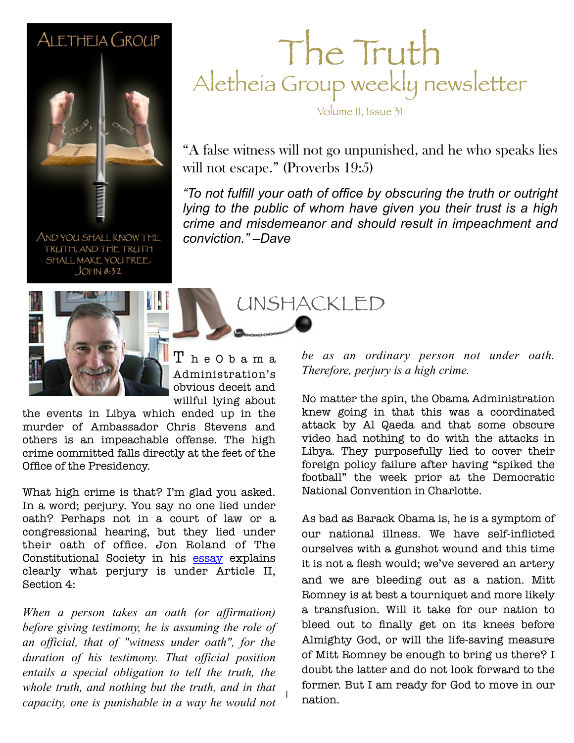#### ALETHEIA GROUP



AND YOU SHALL KNOW THE TRUTH, AND THE TRUTH SHALL MAKE YOU FREE.  $JOHM 8:32$ 

### The Truth Aletheia Group weekly newsletter

Volume II, Issue 31

"A false witness will not go unpunished, and he who speaks lies will not escape." (Proverbs 19:5)

lying to the public of whom have given you their trust is a high *"To not fulfill your oath of office by obscuring the truth or outright crime and misdemeanor and should result in impeachment and conviction." –Dave*

UNSHACKLED



 $\texttt{T}$  h e O b a m a Administration's obvious deceit and willful lying about

1

the events in Libya which ended up in the murder of Ambassador Chris Stevens and others is an impeachable offense. The high crime committed falls directly at the feet of the Office of the Presidency.

What high crime is that? I'm glad you asked. In a word; perjury. You say no one lied under oath? Perhaps not in a court of law or a congressional hearing, but they lied under their oath of office. Jon Roland of The Constitutional Society in his [essay](http://constitution.org/cmt/high_crimes.htm) explains clearly what perjury is under Article II, Section 4:

*When a person takes an oath (or affirmation) before giving testimony, he is assuming the role of an official, that of "witness under oath", for the duration of his testimony. That official position entails a special obligation to tell the truth, the whole truth, and nothing but the truth, and in that capacity, one is punishable in a way he would not* 

*be as an ordinary person not under oath. Therefore, perjury is a high crime.*

No matter the spin, the Obama Administration knew going in that this was a coordinated attack by Al Qaeda and that some obscure video had nothing to do with the attacks in Libya. They purposefully lied to cover their foreign policy failure after having "spiked the football" the week prior at the Democratic National Convention in Charlotte.

As bad as Barack Obama is, he is a symptom of our national illness. We have self-inflicted ourselves with a gunshot wound and this time it is not a flesh would; we've severed an artery and we are bleeding out as a nation. Mitt Romney is at best a tourniquet and more likely a transfusion. Will it take for our nation to bleed out to finally get on its knees before Almighty God, or will the life-saving measure of Mitt Romney be enough to bring us there? I doubt the latter and do not look forward to the former. But I am ready for God to move in our nation.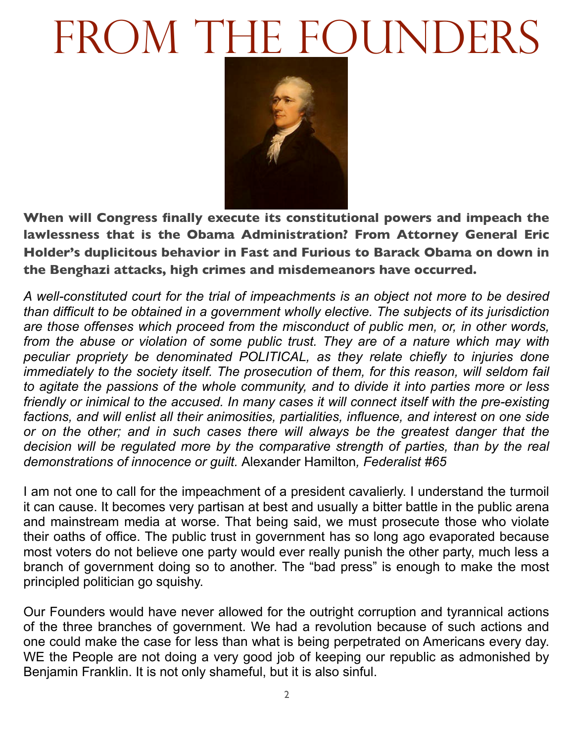# FROM THE FOUNDERS



**When will Congress finally execute its constitutional powers and impeach the lawlessness that is the Obama Administration? From Attorney General Eric Holder's duplicitous behavior in Fast and Furious to Barack Obama on down in the Benghazi attacks, high crimes and misdemeanors have occurred.** 

*A well-constituted court for the trial of impeachments is an object not more to be desired than difficult to be obtained in a government wholly elective. The subjects of its jurisdiction are those offenses which proceed from the misconduct of public men, or, in other words, from the abuse or violation of some public trust. They are of a nature which may with peculiar propriety be denominated POLITICAL, as they relate chiefly to injuries done immediately to the society itself. The prosecution of them, for this reason, will seldom fail to agitate the passions of the whole community, and to divide it into parties more or less friendly or inimical to the accused. In many cases it will connect itself with the pre-existing factions, and will enlist all their animosities, partialities, influence, and interest on one side or on the other; and in such cases there will always be the greatest danger that the decision will be regulated more by the comparative strength of parties, than by the real demonstrations of innocence or guilt.* Alexander Hamilton*, Federalist #65*

I am not one to call for the impeachment of a president cavalierly. I understand the turmoil it can cause. It becomes very partisan at best and usually a bitter battle in the public arena and mainstream media at worse. That being said, we must prosecute those who violate their oaths of office. The public trust in government has so long ago evaporated because most voters do not believe one party would ever really punish the other party, much less a branch of government doing so to another. The "bad press" is enough to make the most principled politician go squishy.

Our Founders would have never allowed for the outright corruption and tyrannical actions of the three branches of government. We had a revolution because of such actions and one could make the case for less than what is being perpetrated on Americans every day. WE the People are not doing a very good job of keeping our republic as admonished by Benjamin Franklin. It is not only shameful, but it is also sinful.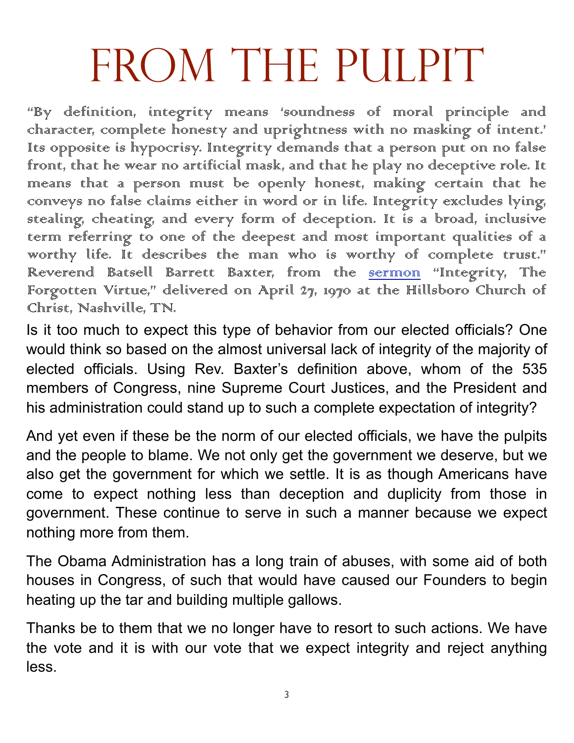# FROM THE PULPIT

"By definition, integrity means 'soundness of moral principle and character, complete honesty and uprightness with no masking of intent.' Its opposite is hypocrisy. Integrity demands that a person put on no false front, that he wear no artificial mask, and that he play no deceptive role. It means that a person must be openly honest, making certain that he conveys no false claims either in word or in life. Integrity excludes lying, stealing, cheating, and every form of deception. It is a broad, inclusive term referring to one of the deepest and most important qualities of a worthy life. It describes the man who is worthy of complete trust." Reverend Batsell Barrett Baxter, from the sermon "Integrity, The Forgotten Virtue," delivered on April 27, 1970 at the Hillsboro Church of Christ, Nashville, TN.

Is it too much to expect this type of behavior from our elected officials? One would think so based on the almost universal lack of integrity of the majority of elected officials. Using Rev. Baxter's definition above, whom of the 535 members of Congress, nine Supreme Court Justices, and the President and his administration could stand up to such a complete expectation of integrity?

And yet even if these be the norm of our elected officials, we have the pulpits and the people to blame. We not only get the government we deserve, but we also get the government for which we settle. It is as though Americans have come to expect nothing less than deception and duplicity from those in government. These continue to serve in such a manner because we expect nothing more from them.

The Obama Administration has a long train of abuses, with some aid of both houses in Congress, of such that would have caused our Founders to begin heating up the tar and building multiple gallows.

Thanks be to them that we no longer have to resort to such actions. We have the vote and it is with our vote that we expect integrity and reject anything less.